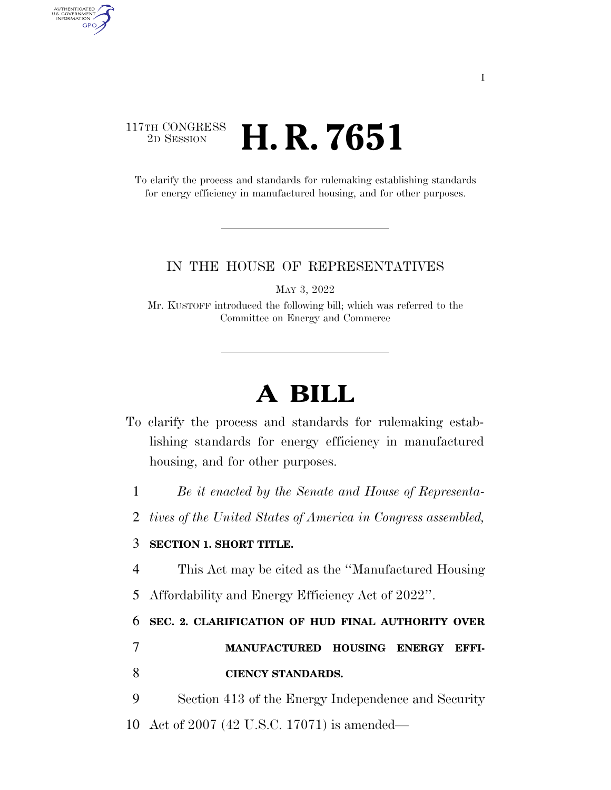### 117TH CONGRESS <sup>2D SESSION</sup> **H. R. 7651**

AUTHENTICATED<br>U.S. GOVERNMENT<br>INFORMATION

**GPO** 

To clarify the process and standards for rulemaking establishing standards for energy efficiency in manufactured housing, and for other purposes.

#### IN THE HOUSE OF REPRESENTATIVES

MAY 3, 2022

Mr. KUSTOFF introduced the following bill; which was referred to the Committee on Energy and Commerce

# **A BILL**

- To clarify the process and standards for rulemaking establishing standards for energy efficiency in manufactured housing, and for other purposes.
	- 1 *Be it enacted by the Senate and House of Representa-*
	- 2 *tives of the United States of America in Congress assembled,*

### 3 **SECTION 1. SHORT TITLE.**

4 This Act may be cited as the ''Manufactured Housing

5 Affordability and Energy Efficiency Act of 2022''.

6 **SEC. 2. CLARIFICATION OF HUD FINAL AUTHORITY OVER** 

## 7 **MANUFACTURED HOUSING ENERGY EFFI-**8 **CIENCY STANDARDS.**

9 Section 413 of the Energy Independence and Security 10 Act of 2007 (42 U.S.C. 17071) is amended—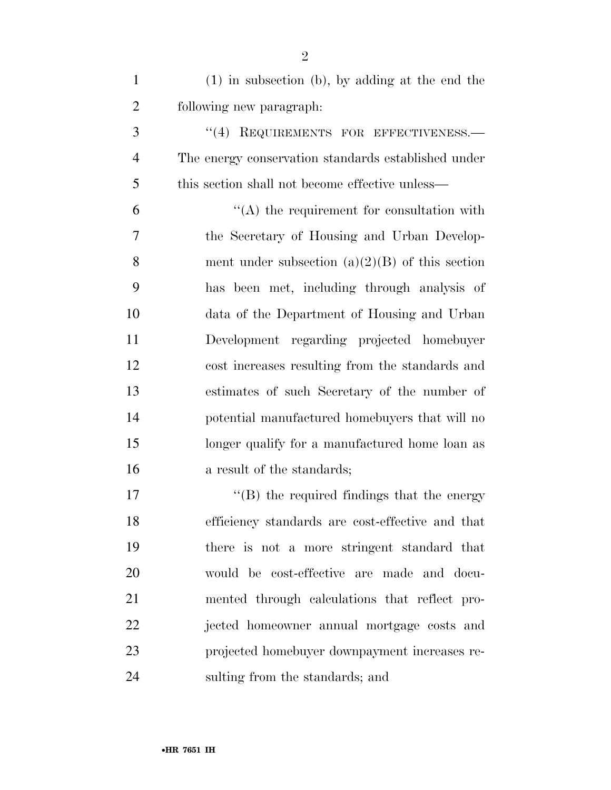| $\mathbf{1}$   | $(1)$ in subsection (b), by adding at the end the   |
|----------------|-----------------------------------------------------|
| $\overline{2}$ | following new paragraph:                            |
| 3              | REQUIREMENTS FOR EFFECTIVENESS.-<br>(4)             |
| $\overline{4}$ | The energy conservation standards established under |
| 5              | this section shall not become effective unless—     |
| 6              | $\lq\lq$ the requirement for consultation with      |
| $\tau$         | the Secretary of Housing and Urban Develop-         |
| 8              | ment under subsection $(a)(2)(B)$ of this section   |
| 9              | has been met, including through analysis of         |
| 10             | data of the Department of Housing and Urban         |
| 11             | Development regarding projected homebuyer           |
| 12             | cost increases resulting from the standards and     |
| 13             | estimates of such Secretary of the number of        |
| 14             | potential manufactured homebuyers that will no      |
| 15             | longer qualify for a manufactured home loan as      |
| 16             | a result of the standards;                          |
| 17             | $\lq\lq$ the required findings that the energy      |

 efficiency standards are cost-effective and that there is not a more stringent standard that would be cost-effective are made and docu- mented through calculations that reflect pro- jected homeowner annual mortgage costs and projected homebuyer downpayment increases re-sulting from the standards; and